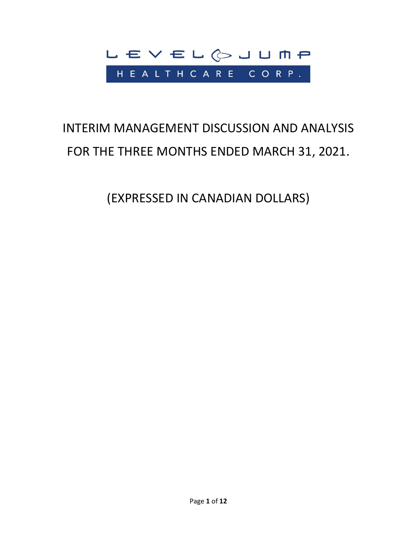

# INTERIM MANAGEMENT DISCUSSION AND ANALYSIS FOR THE THREE MONTHS ENDED MARCH 31, 2021.

(EXPRESSED IN CANADIAN DOLLARS)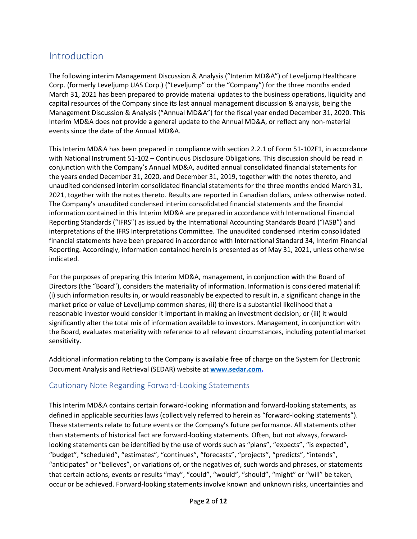# Introduction

The following interim Management Discussion & Analysis ("Interim MD&A") of Leveljump Healthcare Corp. (formerly Leveljump UAS Corp.) ("Leveljump" or the "Company") for the three months ended March 31, 2021 has been prepared to provide material updates to the business operations, liquidity and capital resources of the Company since its last annual management discussion & analysis, being the Management Discussion & Analysis ("Annual MD&A") for the fiscal year ended December 31, 2020. This Interim MD&A does not provide a general update to the Annual MD&A, or reflect any non-material events since the date of the Annual MD&A.

This Interim MD&A has been prepared in compliance with section 2.2.1 of Form 51-102F1, in accordance with National Instrument 51-102 – Continuous Disclosure Obligations. This discussion should be read in conjunction with the Company's Annual MD&A, audited annual consolidated financial statements for the years ended December 31, 2020, and December 31, 2019, together with the notes thereto, and unaudited condensed interim consolidated financial statements for the three months ended March 31, 2021, together with the notes thereto. Results are reported in Canadian dollars, unless otherwise noted. The Company's unaudited condensed interim consolidated financial statements and the financial information contained in this Interim MD&A are prepared in accordance with International Financial Reporting Standards ("IFRS") as issued by the International Accounting Standards Board ("IASB") and interpretations of the IFRS Interpretations Committee. The unaudited condensed interim consolidated financial statements have been prepared in accordance with International Standard 34, Interim Financial Reporting. Accordingly, information contained herein is presented as of May 31, 2021, unless otherwise indicated.

For the purposes of preparing this Interim MD&A, management, in conjunction with the Board of Directors (the "Board"), considers the materiality of information. Information is considered material if: (i) such information results in, or would reasonably be expected to result in, a significant change in the market price or value of Leveljump common shares; (ii) there is a substantial likelihood that a reasonable investor would consider it important in making an investment decision; or (iii) it would significantly alter the total mix of information available to investors. Management, in conjunction with the Board, evaluates materiality with reference to all relevant circumstances, including potential market sensitivity.

Additional information relating to the Company is available free of charge on the System for Electronic Document Analysis and Retrieval (SEDAR) website at **[www.sedar.com.](http://www.sedar.com/)**

# Cautionary Note Regarding Forward-Looking Statements

This Interim MD&A contains certain forward-looking information and forward-looking statements, as defined in applicable securities laws (collectively referred to herein as "forward-looking statements"). These statements relate to future events or the Company's future performance. All statements other than statements of historical fact are forward-looking statements. Often, but not always, forwardlooking statements can be identified by the use of words such as "plans", "expects", "is expected", "budget", "scheduled", "estimates", "continues", "forecasts", "projects", "predicts", "intends", "anticipates" or "believes", or variations of, or the negatives of, such words and phrases, or statements that certain actions, events or results "may", "could", "would", "should", "might" or "will" be taken, occur or be achieved. Forward-looking statements involve known and unknown risks, uncertainties and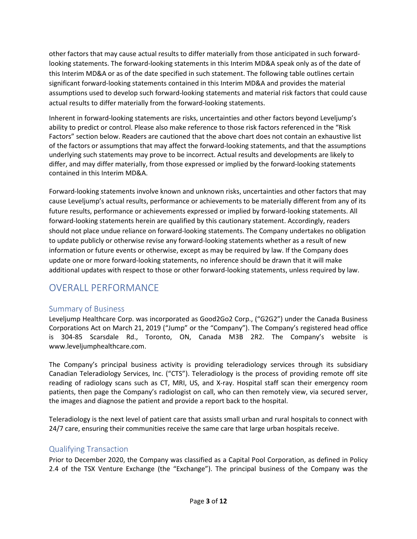other factors that may cause actual results to differ materially from those anticipated in such forwardlooking statements. The forward-looking statements in this Interim MD&A speak only as of the date of this Interim MD&A or as of the date specified in such statement. The following table outlines certain significant forward-looking statements contained in this Interim MD&A and provides the material assumptions used to develop such forward-looking statements and material risk factors that could cause actual results to differ materially from the forward-looking statements.

Inherent in forward-looking statements are risks, uncertainties and other factors beyond Leveljump's ability to predict or control. Please also make reference to those risk factors referenced in the "Risk Factors" section below. Readers are cautioned that the above chart does not contain an exhaustive list of the factors or assumptions that may affect the forward-looking statements, and that the assumptions underlying such statements may prove to be incorrect. Actual results and developments are likely to differ, and may differ materially, from those expressed or implied by the forward-looking statements contained in this Interim MD&A.

Forward-looking statements involve known and unknown risks, uncertainties and other factors that may cause Leveljump's actual results, performance or achievements to be materially different from any of its future results, performance or achievements expressed or implied by forward-looking statements. All forward-looking statements herein are qualified by this cautionary statement. Accordingly, readers should not place undue reliance on forward-looking statements. The Company undertakes no obligation to update publicly or otherwise revise any forward-looking statements whether as a result of new information or future events or otherwise, except as may be required by law. If the Company does update one or more forward-looking statements, no inference should be drawn that it will make additional updates with respect to those or other forward-looking statements, unless required by law.

# OVERALL PERFORMANCE

## Summary of Business

Leveljump Healthcare Corp. was incorporated as Good2Go2 Corp., ("G2G2") under the Canada Business Corporations Act on March 21, 2019 ("Jump" or the "Company"). The Company's registered head office is 304-85 Scarsdale Rd., Toronto, ON, Canada M3B 2R2. The Company's website is www.leveljumphealthcare.com.

The Company's principal business activity is providing teleradiology services through its subsidiary Canadian Teleradiology Services, Inc. ("CTS"). Teleradiology is the process of providing remote off site reading of radiology scans such as CT, MRI, US, and X-ray. Hospital staff scan their emergency room patients, then page the Company's radiologist on call, who can then remotely view, via secured server, the images and diagnose the patient and provide a report back to the hospital.

Teleradiology is the next level of patient care that assists small urban and rural hospitals to connect with 24/7 care, ensuring their communities receive the same care that large urban hospitals receive.

## Qualifying Transaction

Prior to December 2020, the Company was classified as a Capital Pool Corporation, as defined in Policy 2.4 of the TSX Venture Exchange (the "Exchange"). The principal business of the Company was the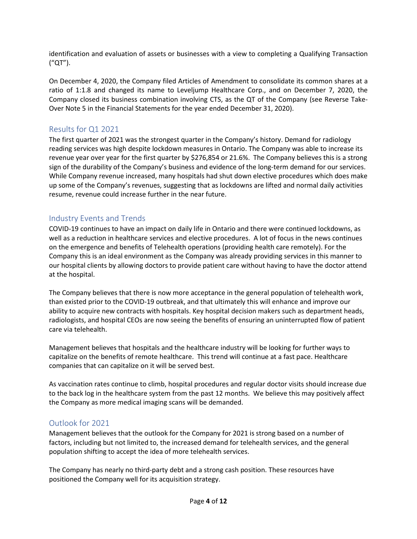identification and evaluation of assets or businesses with a view to completing a Qualifying Transaction ("QT").

On December 4, 2020, the Company filed Articles of Amendment to consolidate its common shares at a ratio of 1:1.8 and changed its name to Leveljump Healthcare Corp., and on December 7, 2020, the Company closed its business combination involving CTS, as the QT of the Company (see Reverse Take-Over Note 5 in the Financial Statements for the year ended December 31, 2020).

# Results for Q1 2021

The first quarter of 2021 was the strongest quarter in the Company's history. Demand for radiology reading services was high despite lockdown measures in Ontario. The Company was able to increase its revenue year over year for the first quarter by \$276,854 or 21.6%. The Company believes this is a strong sign of the durability of the Company's business and evidence of the long-term demand for our services. While Company revenue increased, many hospitals had shut down elective procedures which does make up some of the Company's revenues, suggesting that as lockdowns are lifted and normal daily activities resume, revenue could increase further in the near future.

# Industry Events and Trends

COVID-19 continues to have an impact on daily life in Ontario and there were continued lockdowns, as well as a reduction in healthcare services and elective procedures. A lot of focus in the news continues on the emergence and benefits of Telehealth operations (providing health care remotely). For the Company this is an ideal environment as the Company was already providing services in this manner to our hospital clients by allowing doctors to provide patient care without having to have the doctor attend at the hospital.

The Company believes that there is now more acceptance in the general population of telehealth work, than existed prior to the COVID-19 outbreak, and that ultimately this will enhance and improve our ability to acquire new contracts with hospitals. Key hospital decision makers such as department heads, radiologists, and hospital CEOs are now seeing the benefits of ensuring an uninterrupted flow of patient care via telehealth.

Management believes that hospitals and the healthcare industry will be looking for further ways to capitalize on the benefits of remote healthcare. This trend will continue at a fast pace. Healthcare companies that can capitalize on it will be served best.

As vaccination rates continue to climb, hospital procedures and regular doctor visits should increase due to the back log in the healthcare system from the past 12 months. We believe this may positively affect the Company as more medical imaging scans will be demanded.

# Outlook for 2021

Management believes that the outlook for the Company for 2021 is strong based on a number of factors, including but not limited to, the increased demand for telehealth services, and the general population shifting to accept the idea of more telehealth services.

The Company has nearly no third-party debt and a strong cash position. These resources have positioned the Company well for its acquisition strategy.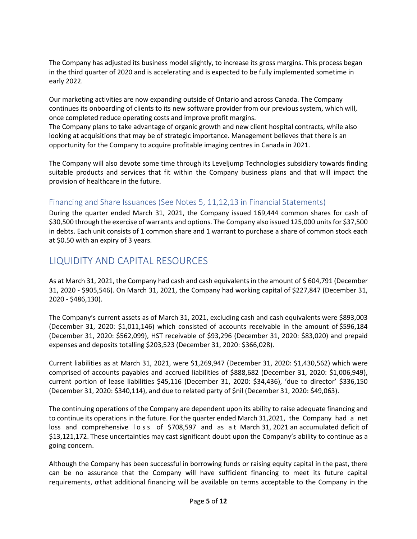The Company has adjusted its business model slightly, to increase its gross margins. This process began in the third quarter of 2020 and is accelerating and is expected to be fully implemented sometime in early 2022.

Our marketing activities are now expanding outside of Ontario and across Canada. The Company continues its onboarding of clients to its new software provider from our previous system, which will, once completed reduce operating costs and improve profit margins.

The Company plans to take advantage of organic growth and new client hospital contracts, while also looking at acquisitions that may be of strategic importance. Management believes that there is an opportunity for the Company to acquire profitable imaging centres in Canada in 2021.

The Company will also devote some time through its Leveljump Technologies subsidiary towards finding suitable products and services that fit within the Company business plans and that will impact the provision of healthcare in the future.

# Financing and Share Issuances (See Notes 5, 11,12,13 in Financial Statements)

During the quarter ended March 31, 2021, the Company issued 169,444 common shares for cash of \$30,500 through the exercise of warrants and options. The Company also issued 125,000 unitsfor \$37,500 in debts. Each unit consists of 1 common share and 1 warrant to purchase a share of common stock each at \$0.50 with an expiry of 3 years.

# LIQUIDITY AND CAPITAL RESOURCES

As at March 31, 2021, the Company had cash and cash equivalents in the amount of \$604,791 (December 31, 2020 - \$905,546). On March 31, 2021, the Company had working capital of \$227,847 (December 31, 2020 - \$486,130).

The Company's current assets as of March 31, 2021, excluding cash and cash equivalents were \$893,003 (December 31, 2020: \$1,011,146) which consisted of accounts receivable in the amount of \$596,184 (December 31, 2020: \$562,099), HST receivable of \$93,296 (December 31, 2020: \$83,020) and prepaid expenses and deposits totalling \$203,523 (December 31, 2020: \$366,028).

Current liabilities as at March 31, 2021, were \$1,269,947 (December 31, 2020: \$1,430,562) which were comprised of accounts payables and accrued liabilities of \$888,682 (December 31, 2020: \$1,006,949), current portion of lease liabilities \$45,116 (December 31, 2020: \$34,436), 'due to director' \$336,150 (December 31, 2020: \$340,114), and due to related party of \$nil (December 31, 2020: \$49,063).

The continuing operations of the Company are dependent upon its ability to raise adequate financing and to continue its operations in the future. For the quarter ended March 31,2021, the Company had a net loss and comprehensive loss of \$708,597 and as a t March 31, 2021 an accumulated deficit of \$13,121,172. These uncertainties may cast significant doubt upon the Company's ability to continue as a going concern.

Although the Company has been successful in borrowing funds or raising equity capital in the past, there can be no assurance that the Company will have sufficient financing to meet its future capital requirements, orthat additional financing will be available on terms acceptable to the Company in the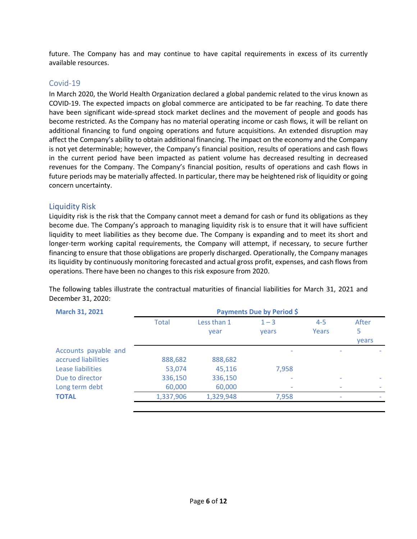future. The Company has and may continue to have capital requirements in excess of its currently available resources.

### Covid-19

In March 2020, the World Health Organization declared a global pandemic related to the virus known as COVID-19. The expected impacts on global commerce are anticipated to be far reaching. To date there have been significant wide-spread stock market declines and the movement of people and goods has become restricted. As the Company has no material operating income or cash flows, it will be reliant on additional financing to fund ongoing operations and future acquisitions. An extended disruption may affect the Company's ability to obtain additional financing. The impact on the economy and the Company is not yet determinable; however, the Company's financial position, results of operations and cash flows in the current period have been impacted as patient volume has decreased resulting in decreased revenues for the Company. The Company's financial position, results of operations and cash flows in future periods may be materially affected. In particular, there may be heightened risk of liquidity or going concern uncertainty.

## Liquidity Risk

Liquidity risk is the risk that the Company cannot meet a demand for cash or fund its obligations as they become due. The Company's approach to managing liquidity risk is to ensure that it will have sufficient liquidity to meet liabilities as they become due. The Company is expanding and to meet its short and longer-term working capital requirements, the Company will attempt, if necessary, to secure further financing to ensure that those obligations are properly discharged. Operationally, the Company manages its liquidity by continuously monitoring forecasted and actual gross profit, expenses, and cash flows from operations. There have been no changes to this risk exposure from 2020.

The following tables illustrate the contractual maturities of financial liabilities for March 31, 2021 and December 31, 2020:

| <b>March 31, 2021</b> | Payments Due by Period \$ |             |         |         |              |
|-----------------------|---------------------------|-------------|---------|---------|--------------|
|                       | <b>Total</b>              | Less than 1 | $1 - 3$ | $4 - 5$ | After        |
|                       |                           | year        | vears   | Years   | 5            |
|                       |                           |             |         |         | <b>vears</b> |
| Accounts payable and  |                           |             |         |         |              |
| accrued liabilities   | 888,682                   | 888,682     |         |         |              |
| Lease liabilities     | 53,074                    | 45,116      | 7,958   |         |              |
| Due to director       | 336,150                   | 336,150     |         |         |              |
| Long term debt        | 60,000                    | 60,000      |         |         |              |
| <b>TOTAL</b>          | 1,337,906                 | 1,329,948   | 7,958   | ٠       |              |
|                       |                           |             |         |         |              |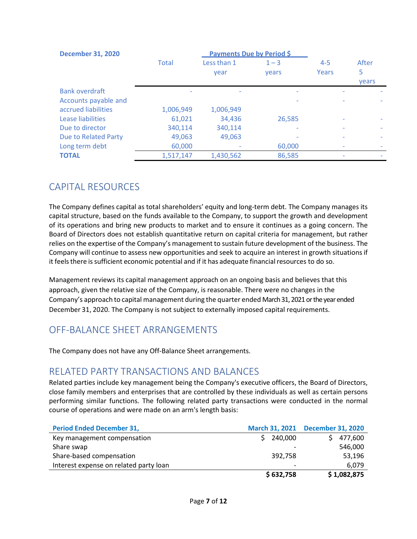| <b>December 31, 2020</b>    | <b>Payments Due by Period \$</b> |             |                          |         |       |
|-----------------------------|----------------------------------|-------------|--------------------------|---------|-------|
|                             | <b>Total</b>                     | Less than 1 | $1 - 3$                  | $4 - 5$ | After |
|                             |                                  | year        | <b>vears</b>             | Years   | 5     |
|                             |                                  |             |                          |         | years |
| <b>Bank overdraft</b>       |                                  |             |                          |         |       |
| Accounts payable and        |                                  |             |                          |         |       |
| accrued liabilities         | 1,006,949                        | 1,006,949   |                          |         |       |
| Lease liabilities           | 61,021                           | 34,436      | 26,585                   |         |       |
| Due to director             | 340,114                          | 340,114     | $\overline{\phantom{a}}$ |         |       |
| <b>Due to Related Party</b> | 49,063                           | 49,063      |                          |         |       |
| Long term debt              | 60,000                           |             | 60,000                   |         |       |
| <b>TOTAL</b>                | 1,517,147                        | 1,430,562   | 86,585                   |         |       |

# CAPITAL RESOURCES

The Company defines capital as total shareholders' equity and long-term debt. The Company manages its capital structure, based on the funds available to the Company, to support the growth and development of its operations and bring new products to market and to ensure it continues as a going concern. The Board of Directors does not establish quantitative return on capital criteria for management, but rather relies on the expertise of the Company's management to sustain future development of the business. The Company will continue to assess new opportunities and seek to acquire an interest in growth situationsif it feels there is sufficient economic potential and if it has adequate financial resources to do so.

Management reviews its capital management approach on an ongoing basis and believes that this approach, given the relative size of the Company, is reasonable. There were no changes in the Company's approach to capital management during the quarter ended March 31, 2021 or the year ended December 31, 2020. The Company is not subject to externally imposed capital requirements.

# OFF-BALANCE SHEET ARRANGEMENTS

The Company does not have any Off-Balance Sheet arrangements.

# RELATED PARTY TRANSACTIONS AND BALANCES

Related parties include key management being the Company's executive officers, the Board of Directors, close family members and enterprises that are controlled by these individuals as well as certain persons performing similar functions. The following related party transactions were conducted in the normal course of operations and were made on an arm's length basis:

| <b>Period Ended December 31,</b>       |           | March 31, 2021 December 31, 2020 |
|----------------------------------------|-----------|----------------------------------|
| Key management compensation            | 240,000   | 477,600                          |
| Share swap                             |           | 546,000                          |
| Share-based compensation               | 392,758   | 53,196                           |
| Interest expense on related party loan |           | 6.079                            |
|                                        | \$632,758 | \$1,082,875                      |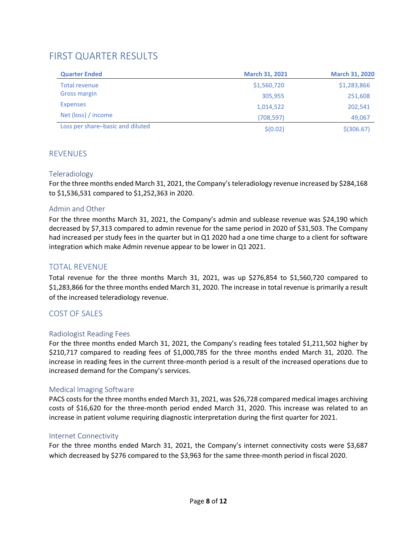# FIRST QUARTER RESULTS

| <b>Quarter Ended</b>             | <b>March 31, 2021</b> | <b>March 31, 2020</b> |
|----------------------------------|-----------------------|-----------------------|
| Total revenue                    | \$1,560,720           | \$1,283,866           |
| <b>Gross margin</b>              | 305,955               | 251,608               |
| <b>Expenses</b>                  | 1,014,522             | 202,541               |
| Net (loss) / income              | (708, 597)            | 49,067                |
| Loss per share-basic and diluted | \$(0.02)              | $$$ (306.67)          |

# **REVENUES**

#### Teleradiology

For the three months ended March 31, 2021, the Company's teleradiology revenue increased by \$284,168 to \$1,536,531 compared to \$1,252,363 in 2020.

### Admin and Other

For the three months March 31, 2021, the Company's admin and sublease revenue was \$24,190 which decreased by \$7,313 compared to admin revenue for the same period in 2020 of \$31,503. The Company had increased per study fees in the quarter but in Q1 2020 had a one time charge to a client for software integration which make Admin revenue appear to be lower in Q1 2021.

# TOTAL REVENUE

Total revenue for the three months March 31, 2021, was up \$276,854 to \$1,560,720 compared to \$1,283,866 for the three months ended March 31, 2020. The increase in total revenue is primarily a result of the increased teleradiology revenue.

## COST OF SALES

#### Radiologist Reading Fees

For the three months ended March 31, 2021, the Company's reading fees totaled \$1,211,502 higher by \$210,717 compared to reading fees of \$1,000,785 for the three months ended March 31, 2020. The increase in reading fees in the current three-month period is a result of the increased operations due to increased demand for the Company's services.

#### Medical Imaging Software

PACS costs for the three months ended March 31, 2021, was \$26,728 compared medical images archiving costs of \$16,620 for the three-month period ended March 31, 2020. This increase was related to an increase in patient volume requiring diagnostic interpretation during the first quarter for 2021.

#### Internet Connectivity

For the three months ended March 31, 2021, the Company's internet connectivity costs were \$3,687 which decreased by \$276 compared to the \$3,963 for the same three-month period in fiscal 2020.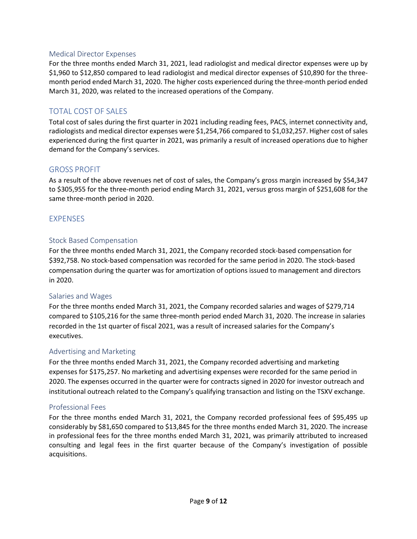#### Medical Director Expenses

For the three months ended March 31, 2021, lead radiologist and medical director expenses were up by \$1,960 to \$12,850 compared to lead radiologist and medical director expenses of \$10,890 for the threemonth period ended March 31, 2020. The higher costs experienced during the three-month period ended March 31, 2020, was related to the increased operations of the Company.

# TOTAL COST OF SALES

Total cost of sales during the first quarter in 2021 including reading fees, PACS, internet connectivity and, radiologists and medical director expenses were \$1,254,766 compared to \$1,032,257. Higher cost of sales experienced during the first quarter in 2021, was primarily a result of increased operations due to higher demand for the Company's services.

#### GROSS PROFIT

As a result of the above revenues net of cost of sales, the Company's gross margin increased by \$54,347 to \$305,955 for the three-month period ending March 31, 2021, versus gross margin of \$251,608 for the same three-month period in 2020.

#### EXPENSES

#### Stock Based Compensation

For the three months ended March 31, 2021, the Company recorded stock-based compensation for \$392,758. No stock-based compensation was recorded for the same period in 2020. The stock-based compensation during the quarter was for amortization of options issued to management and directors in 2020.

#### Salaries and Wages

For the three months ended March 31, 2021, the Company recorded salaries and wages of \$279,714 compared to \$105,216 for the same three-month period ended March 31, 2020. The increase in salaries recorded in the 1st quarter of fiscal 2021, was a result of increased salaries for the Company's executives.

#### Advertising and Marketing

For the three months ended March 31, 2021, the Company recorded advertising and marketing expenses for \$175,257. No marketing and advertising expenses were recorded for the same period in 2020. The expenses occurred in the quarter were for contracts signed in 2020 for investor outreach and institutional outreach related to the Company's qualifying transaction and listing on the TSXV exchange.

#### Professional Fees

For the three months ended March 31, 2021, the Company recorded professional fees of \$95,495 up considerably by \$81,650 compared to \$13,845 for the three months ended March 31, 2020. The increase in professional fees for the three months ended March 31, 2021, was primarily attributed to increased consulting and legal fees in the first quarter because of the Company's investigation of possible acquisitions.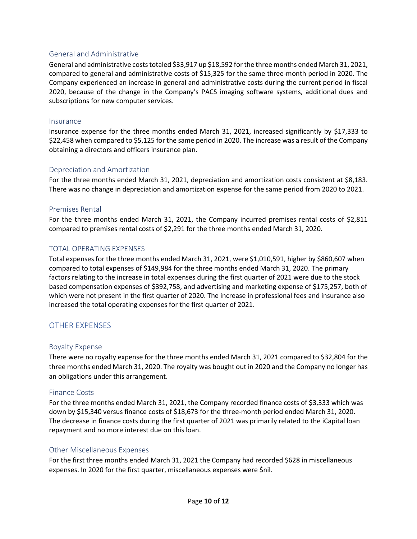#### General and Administrative

General and administrative costs totaled \$33,917 up \$18,592 for the three months ended March 31, 2021, compared to general and administrative costs of \$15,325 for the same three-month period in 2020. The Company experienced an increase in general and administrative costs during the current period in fiscal 2020, because of the change in the Company's PACS imaging software systems, additional dues and subscriptions for new computer services.

#### Insurance

Insurance expense for the three months ended March 31, 2021, increased significantly by \$17,333 to \$22,458 when compared to \$5,125 for the same period in 2020. The increase was a result of the Company obtaining a directors and officers insurance plan.

#### Depreciation and Amortization

For the three months ended March 31, 2021, depreciation and amortization costs consistent at \$8,183. There was no change in depreciation and amortization expense for the same period from 2020 to 2021.

#### Premises Rental

For the three months ended March 31, 2021, the Company incurred premises rental costs of \$2,811 compared to premises rental costs of \$2,291 for the three months ended March 31, 2020.

#### TOTAL OPERATING EXPENSES

Total expenses for the three months ended March 31, 2021, were \$1,010,591, higher by \$860,607 when compared to total expenses of \$149,984 for the three months ended March 31, 2020. The primary factors relating to the increase in total expenses during the first quarter of 2021 were due to the stock based compensation expenses of \$392,758, and advertising and marketing expense of \$175,257, both of which were not present in the first quarter of 2020. The increase in professional fees and insurance also increased the total operating expenses for the first quarter of 2021.

## OTHER EXPENSES

#### Royalty Expense

There were no royalty expense for the three months ended March 31, 2021 compared to \$32,804 for the three months ended March 31, 2020. The royalty was bought out in 2020 and the Company no longer has an obligations under this arrangement.

#### Finance Costs

For the three months ended March 31, 2021, the Company recorded finance costs of \$3,333 which was down by \$15,340 versus finance costs of \$18,673 for the three-month period ended March 31, 2020. The decrease in finance costs during the first quarter of 2021 was primarily related to the iCapital loan repayment and no more interest due on this loan.

#### Other Miscellaneous Expenses

For the first three months ended March 31, 2021 the Company had recorded \$628 in miscellaneous expenses. In 2020 for the first quarter, miscellaneous expenses were \$nil.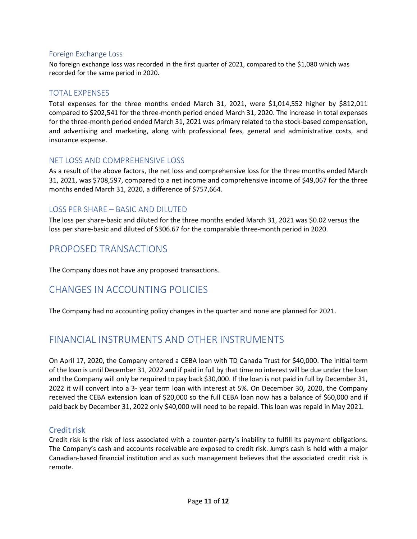#### Foreign Exchange Loss

No foreign exchange loss was recorded in the first quarter of 2021, compared to the \$1,080 which was recorded for the same period in 2020.

### TOTAL EXPENSES

Total expenses for the three months ended March 31, 2021, were \$1,014,552 higher by \$812,011 compared to \$202,541 for the three-month period ended March 31, 2020. The increase in total expenses for the three-month period ended March 31, 2021 was primary related to the stock-based compensation, and advertising and marketing, along with professional fees, general and administrative costs, and insurance expense.

#### NET LOSS AND COMPREHENSIVE LOSS

As a result of the above factors, the net loss and comprehensive loss for the three months ended March 31, 2021, was \$708,597, compared to a net income and comprehensive income of \$49,067 for the three months ended March 31, 2020, a difference of \$757,664.

## LOSS PER SHARE – BASIC AND DILUTED

The loss per share-basic and diluted for the three months ended March 31, 2021 was \$0.02 versus the loss per share-basic and diluted of \$306.67 for the comparable three-month period in 2020.

# PROPOSED TRANSACTIONS

The Company does not have any proposed transactions.

# CHANGES IN ACCOUNTING POLICIES

The Company had no accounting policy changes in the quarter and none are planned for 2021.

# FINANCIAL INSTRUMENTS AND OTHER INSTRUMENTS

On April 17, 2020, the Company entered a CEBA loan with TD Canada Trust for \$40,000. The initial term of the loan is until December 31, 2022 and if paid in full by that time no interest will be due under the loan and the Company will only be required to pay back \$30,000. If the loan is not paid in full by December 31, 2022 it will convert into a 3- year term loan with interest at 5%. On December 30, 2020, the Company received the CEBA extension loan of \$20,000 so the full CEBA loan now has a balance of \$60,000 and if paid back by December 31, 2022 only \$40,000 will need to be repaid. This loan was repaid in May 2021.

#### Credit risk

Credit risk is the risk of loss associated with a counter-party's inability to fulfill its payment obligations. The Company's cash and accounts receivable are exposed to credit risk. Jump's cash is held with a major Canadian-based financial institution and as such management believes that the associated credit risk is remote.